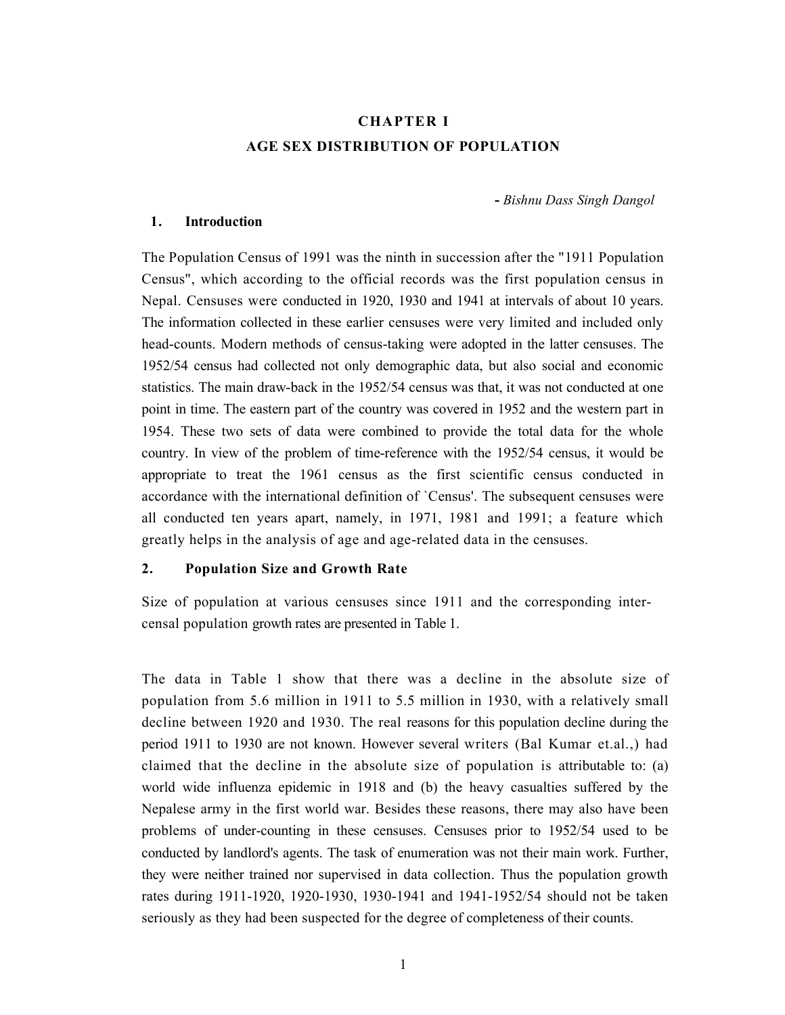# CHAPTER I AGE SEX DISTRIBUTION OF POPULATION

- Bishnu Dass Singh Dangol

#### 1. Introduction

The Population Census of 1991 was the ninth in succession after the "1911 Population Census", which according to the official records was the first population census in Nepal. Censuses were conducted in 1920, 1930 and 1941 at intervals of about 10 years. The information collected in these earlier censuses were very limited and included only head-counts. Modern methods of census-taking were adopted in the latter censuses. The 1952/54 census had collected not only demographic data, but also social and economic statistics. The main draw-back in the 1952/54 census was that, it was not conducted at one point in time. The eastern part of the country was covered in 1952 and the western part in 1954. These two sets of data were combined to provide the total data for the whole country. In view of the problem of time-reference with the 1952/54 census, it would be appropriate to treat the 1961 census as the first scientific census conducted in accordance with the international definition of `Census'. The subsequent censuses were all conducted ten years apart, namely, in 1971, 1981 and 1991; a feature which greatly helps in the analysis of age and age-related data in the censuses.

#### 2. Population Size and Growth Rate

Size of population at various censuses since 1911 and the corresponding intercensal population growth rates are presented in Table 1.

The data in Table 1 show that there was a decline in the absolute size of population from 5.6 million in 1911 to 5.5 million in 1930, with a relatively small decline between 1920 and 1930. The real reasons for this population decline during the period 1911 to 1930 are not known. However several writers (Bal Kumar et.al.,) had claimed that the decline in the absolute size of population is attributable to: (a) world wide influenza epidemic in 1918 and (b) the heavy casualties suffered by the Nepalese army in the first world war. Besides these reasons, there may also have been problems of under-counting in these censuses. Censuses prior to 1952/54 used to be conducted by landlord's agents. The task of enumeration was not their main work. Further, they were neither trained nor supervised in data collection. Thus the population growth rates during 1911-1920, 1920-1930, 1930-1941 and 1941-1952/54 should not be taken seriously as they had been suspected for the degree of completeness of their counts.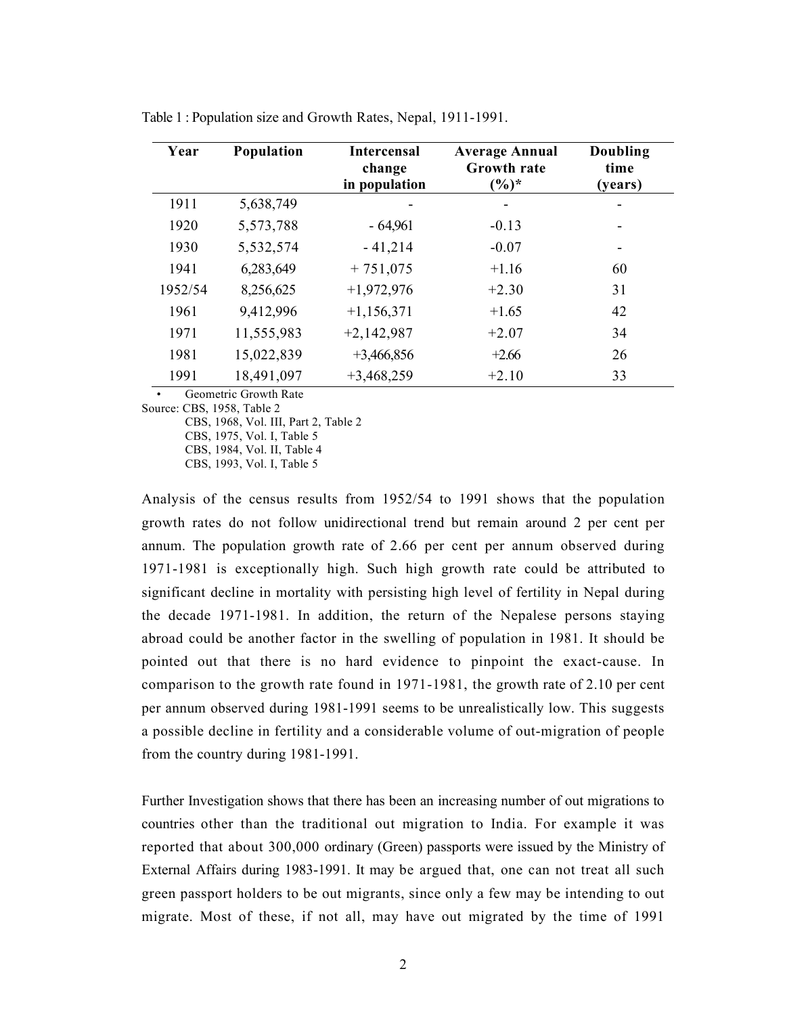| Year    | Population | <b>Intercensal</b><br>change<br>in population | <b>Average Annual</b><br>Growth rate<br>$(\%)^*$ | Doubling<br>time<br>(years) |
|---------|------------|-----------------------------------------------|--------------------------------------------------|-----------------------------|
| 1911    | 5,638,749  |                                               |                                                  |                             |
| 1920    | 5,573,788  | $-64,961$                                     | $-0.13$                                          |                             |
| 1930    | 5,532,574  | $-41,214$                                     | $-0.07$                                          |                             |
| 1941    | 6,283,649  | $+751,075$                                    | $+1.16$                                          | 60                          |
| 1952/54 | 8,256,625  | $+1,972,976$                                  | $+2.30$                                          | 31                          |
| 1961    | 9,412,996  | $+1,156,371$                                  | $+1.65$                                          | 42                          |
| 1971    | 11,555,983 | $+2,142,987$                                  | $+2.07$                                          | 34                          |
| 1981    | 15,022,839 | $+3,466,856$                                  | $+2.66$                                          | 26                          |
| 1991    | 18,491,097 | $+3,468,259$                                  | $+2.10$                                          | 33                          |

Table 1 : Population size and Growth Rates, Nepal, 1911-1991.

Geometric Growth Rate

Source: CBS, 1958, Table 2

CBS, 1968, Vol. III, Part 2, Table 2

 CBS, 1975, Vol. I, Table 5 CBS, 1984, Vol. II, Table 4

CBS, 1993, Vol. I, Table 5

Analysis of the census results from 1952/54 to 1991 shows that the population growth rates do not follow unidirectional trend but remain around 2 per cent per annum. The population growth rate of 2.66 per cent per annum observed during 1971-1981 is exceptionally high. Such high growth rate could be attributed to significant decline in mortality with persisting high level of fertility in Nepal during the decade 1971-1981. In addition, the return of the Nepalese persons staying abroad could be another factor in the swelling of population in 1981. It should be pointed out that there is no hard evidence to pinpoint the exact-cause. In comparison to the growth rate found in 1971-1981, the growth rate of 2.10 per cent per annum observed during 1981-1991 seems to be unrealistically low. This suggests a possible decline in fertility and a considerable volume of out-migration of people from the country during 1981-1991.

Further Investigation shows that there has been an increasing number of out migrations to countries other than the traditional out migration to India. For example it was reported that about 300,000 ordinary (Green) passports were issued by the Ministry of External Affairs during 1983-1991. It may be argued that, one can not treat all such green passport holders to be out migrants, since only a few may be intending to out migrate. Most of these, if not all, may have out migrated by the time of 1991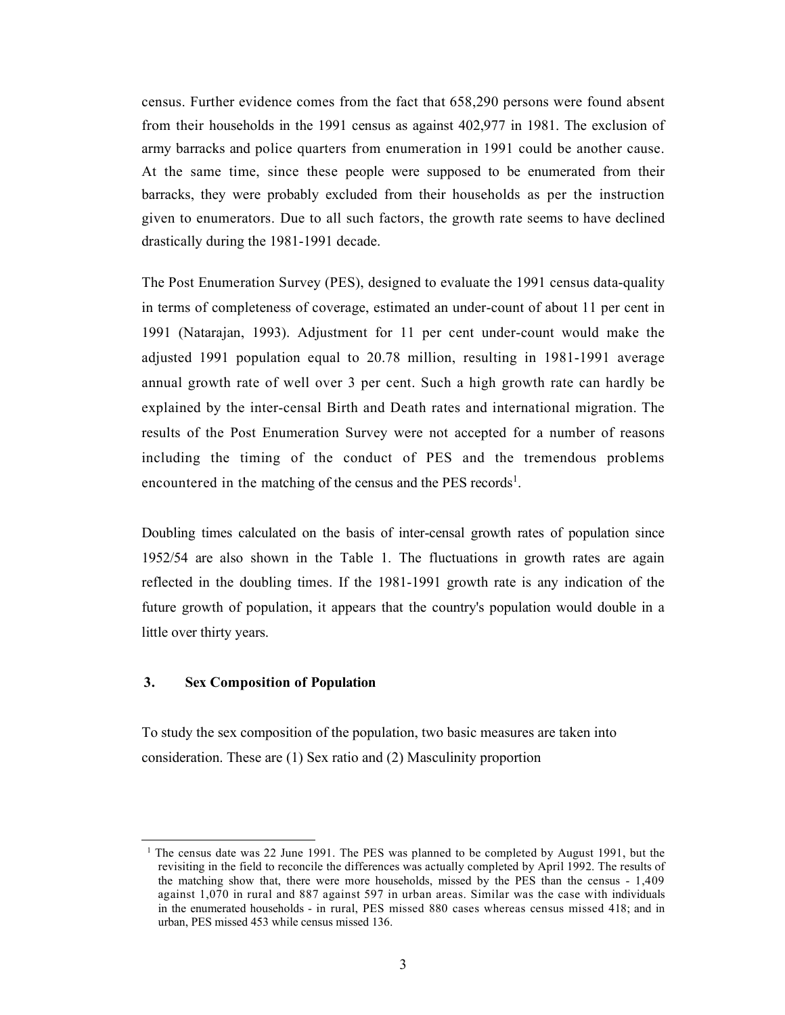census. Further evidence comes from the fact that 658,290 persons were found absent from their households in the 1991 census as against 402,977 in 1981. The exclusion of army barracks and police quarters from enumeration in 1991 could be another cause. At the same time, since these people were supposed to be enumerated from their barracks, they were probably excluded from their households as per the instruction given to enumerators. Due to all such factors, the growth rate seems to have declined drastically during the 1981-1991 decade.

The Post Enumeration Survey (PES), designed to evaluate the 1991 census data-quality in terms of completeness of coverage, estimated an under-count of about 11 per cent in 1991 (Natarajan, 1993). Adjustment for 11 per cent under-count would make the adjusted 1991 population equal to 20.78 million, resulting in 1981-1991 average annual growth rate of well over 3 per cent. Such a high growth rate can hardly be explained by the inter-censal Birth and Death rates and international migration. The results of the Post Enumeration Survey were not accepted for a number of reasons including the timing of the conduct of PES and the tremendous problems encountered in the matching of the census and the PES records<sup>1</sup>.

Doubling times calculated on the basis of inter-censal growth rates of population since 1952/54 are also shown in the Table 1. The fluctuations in growth rates are again reflected in the doubling times. If the 1981-1991 growth rate is any indication of the future growth of population, it appears that the country's population would double in a little over thirty years.

# 3. Sex Composition of Population

To study the sex composition of the population, two basic measures are taken into consideration. These are (1) Sex ratio and (2) Masculinity proportion

<sup>1</sup> The census date was 22 June 1991. The PES was planned to be completed by August 1991, but the revisiting in the field to reconcile the differences was actually completed by April 1992. The results of the matching show that, there were more households, missed by the PES than the census - 1,409 against 1,070 in rural and 887 against 597 in urban areas. Similar was the case with individuals in the enumerated households - in rural, PES missed 880 cases whereas census missed 418; and in urban, PES missed 453 while census missed 136.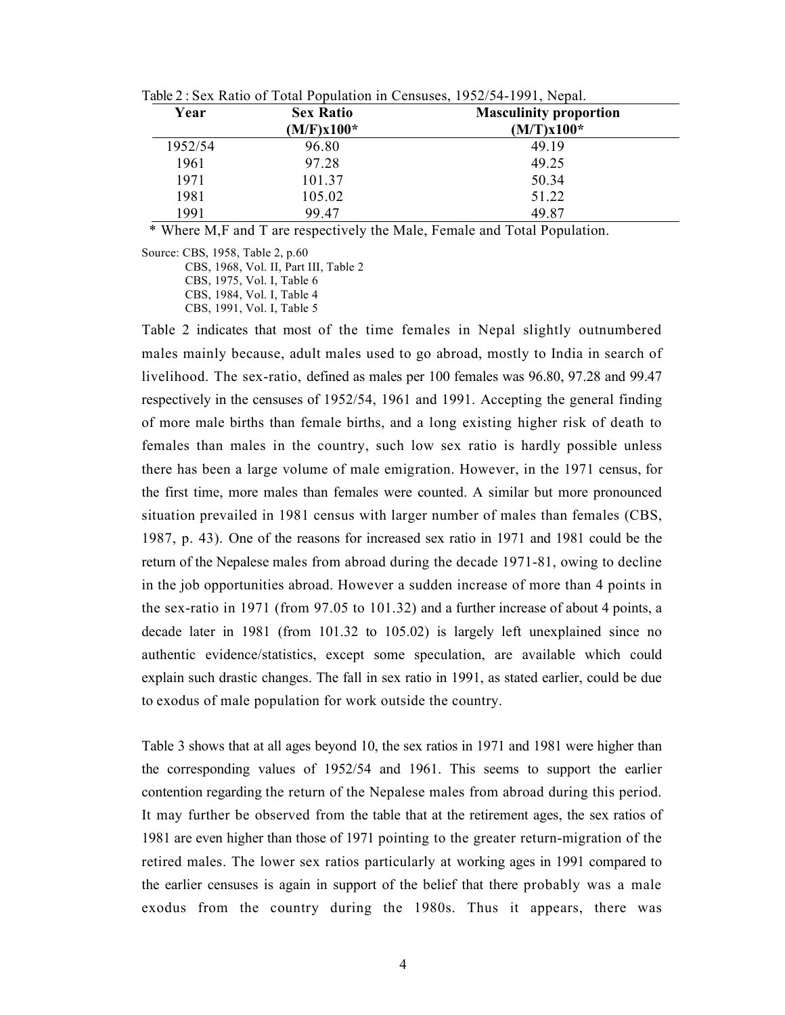|         | Table 2: Sex Ratio of Total Population in Censuses, $1952/54-1991$ , Nepal. |                               |  |  |  |
|---------|-----------------------------------------------------------------------------|-------------------------------|--|--|--|
| Year    | <b>Sex Ratio</b>                                                            | <b>Masculinity proportion</b> |  |  |  |
|         | $(M/F)x100*$                                                                | $(M/T)x100*$                  |  |  |  |
| 1952/54 | 96.80                                                                       | 49.19                         |  |  |  |
| 1961    | 97.28                                                                       | 49.25                         |  |  |  |
| 1971    | 101.37                                                                      | 50.34                         |  |  |  |
| 1981    | 105.02                                                                      | 51.22                         |  |  |  |
| 1991    | 99.47                                                                       | 49.87                         |  |  |  |

Table 2 : Sex Ratio of Total Population in Censuses, 1952/54-1991, Nepal.

\* Where M,F and T are respectively the Male, Female and Total Population.

Source: CBS, 1958, Table 2, p.60

CBS, 1968, Vol. II, Part III, Table 2

CBS, 1975, Vol. I, Table 6

CBS, 1984, Vol. I, Table 4

CBS, 1991, Vol. I, Table 5

Table 2 indicates that most of the time females in Nepal slightly outnumbered males mainly because, adult males used to go abroad, mostly to India in search of livelihood. The sex-ratio, defined as males per 100 females was 96.80, 97.28 and 99.47 respectively in the censuses of 1952/54, 1961 and 1991. Accepting the general finding of more male births than female births, and a long existing higher risk of death to females than males in the country, such low sex ratio is hardly possible unless there has been a large volume of male emigration. However, in the 1971 census, for the first time, more males than females were counted. A similar but more pronounced situation prevailed in 1981 census with larger number of males than females (CBS, 1987, p. 43). One of the reasons for increased sex ratio in 1971 and 1981 could be the return of the Nepalese males from abroad during the decade 1971-81, owing to decline in the job opportunities abroad. However a sudden increase of more than 4 points in the sex-ratio in 1971 (from 97.05 to 101.32) and a further increase of about 4 points, a decade later in 1981 (from 101.32 to 105.02) is largely left unexplained since no authentic evidence/statistics, except some speculation, are available which could explain such drastic changes. The fall in sex ratio in 1991, as stated earlier, could be due to exodus of male population for work outside the country.

Table 3 shows that at all ages beyond 10, the sex ratios in 1971 and 1981 were higher than the corresponding values of 1952/54 and 1961. This seems to support the earlier contention regarding the return of the Nepalese males from abroad during this period. It may further be observed from the table that at the retirement ages, the sex ratios of 1981 are even higher than those of 1971 pointing to the greater return-migration of the retired males. The lower sex ratios particularly at working ages in 1991 compared to the earlier censuses is again in support of the belief that there probably was a male exodus from the country during the 1980s. Thus it appears, there was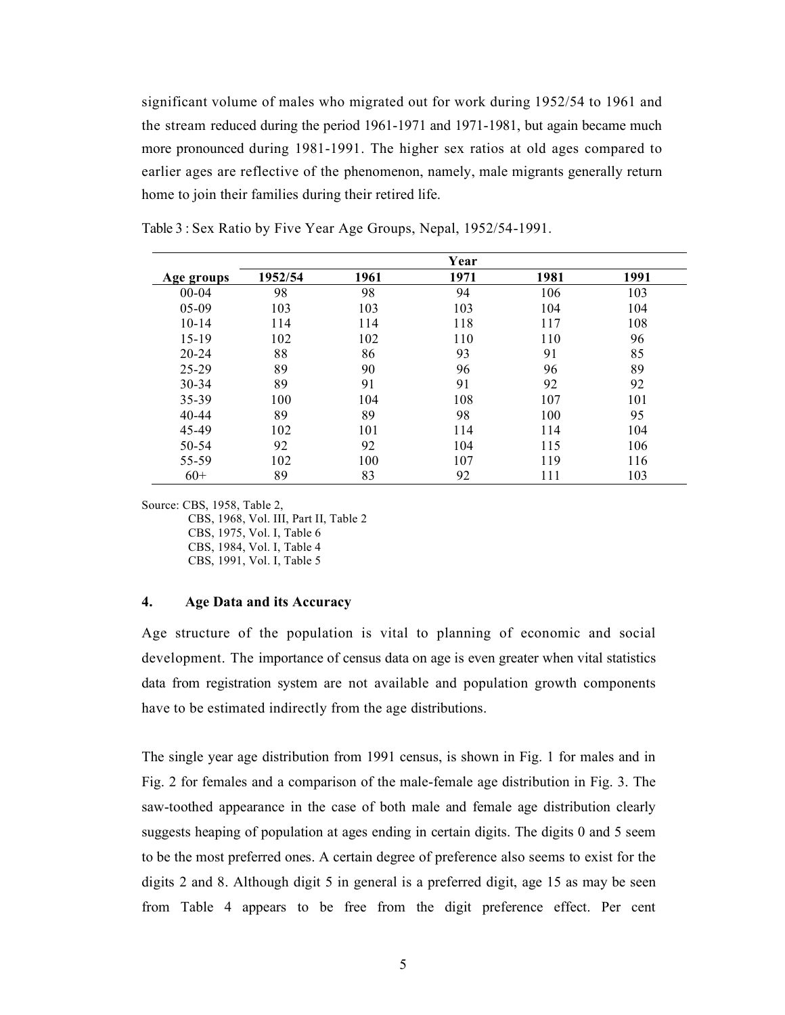significant volume of males who migrated out for work during 1952/54 to 1961 and the stream reduced during the period 1961-1971 and 1971-1981, but again became much more pronounced during 1981-1991. The higher sex ratios at old ages compared to earlier ages are reflective of the phenomenon, namely, male migrants generally return home to join their families during their retired life.

|            |         |      | Year |      |      |
|------------|---------|------|------|------|------|
| Age groups | 1952/54 | 1961 | 1971 | 1981 | 1991 |
| $00-04$    | 98      | 98   | 94   | 106  | 103  |
| $05-09$    | 103     | 103  | 103  | 104  | 104  |
| $10 - 14$  | 114     | 114  | 118  | 117  | 108  |
| $15 - 19$  | 102     | 102  | 110  | 110  | 96   |
| $20 - 24$  | 88      | 86   | 93   | 91   | 85   |
| $25 - 29$  | 89      | 90   | 96   | 96   | 89   |
| $30 - 34$  | 89      | 91   | 91   | 92   | 92   |
| 35-39      | 100     | 104  | 108  | 107  | 101  |
| $40 - 44$  | 89      | 89   | 98   | 100  | 95   |
| 45-49      | 102     | 101  | 114  | 114  | 104  |
| 50-54      | 92      | 92   | 104  | 115  | 106  |
| 55-59      | 102     | 100  | 107  | 119  | 116  |
| $60+$      | 89      | 83   | 92   | 111  | 103  |

Table 3 : Sex Ratio by Five Year Age Groups, Nepal, 1952/54-1991.

Source: CBS, 1958, Table 2,

 CBS, 1968, Vol. III, Part II, Table 2 CBS, 1975, Vol. I, Table 6 CBS, 1984, Vol. I, Table 4 CBS, 1991, Vol. I, Table 5

## 4. Age Data and its Accuracy

Age structure of the population is vital to planning of economic and social development. The importance of census data on age is even greater when vital statistics data from registration system are not available and population growth components have to be estimated indirectly from the age distributions.

The single year age distribution from 1991 census, is shown in Fig. 1 for males and in Fig. 2 for females and a comparison of the male-female age distribution in Fig. 3. The saw-toothed appearance in the case of both male and female age distribution clearly suggests heaping of population at ages ending in certain digits. The digits 0 and 5 seem to be the most preferred ones. A certain degree of preference also seems to exist for the digits 2 and 8. Although digit 5 in general is a preferred digit, age 15 as may be seen from Table 4 appears to be free from the digit preference effect. Per cent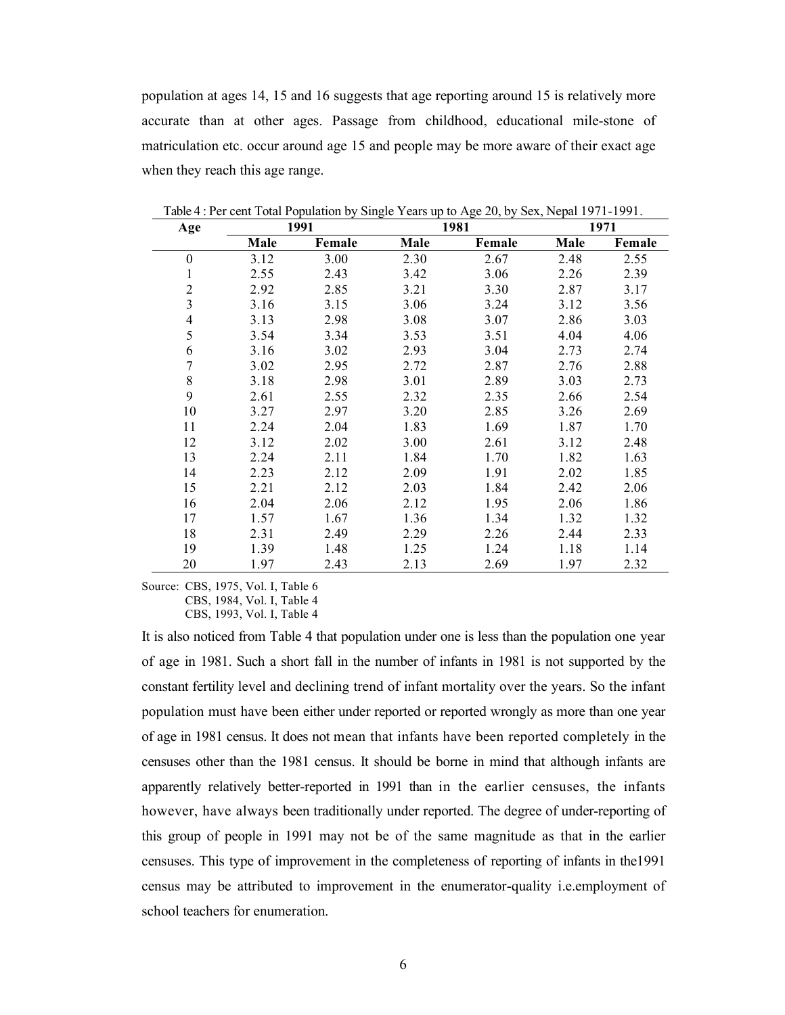population at ages 14, 15 and 16 suggests that age reporting around 15 is relatively more accurate than at other ages. Passage from childhood, educational mile-stone of matriculation etc. occur around age 15 and people may be more aware of their exact age when they reach this age range.

| Age              |      | 1991<br>1971 |      | 1981   |      |        |
|------------------|------|--------------|------|--------|------|--------|
|                  | Male | Female       | Male | Female | Male | Female |
| $\boldsymbol{0}$ | 3.12 | 3.00         | 2.30 | 2.67   | 2.48 | 2.55   |
| 1                | 2.55 | 2.43         | 3.42 | 3.06   | 2.26 | 2.39   |
| $\overline{c}$   | 2.92 | 2.85         | 3.21 | 3.30   | 2.87 | 3.17   |
| 3                | 3.16 | 3.15         | 3.06 | 3.24   | 3.12 | 3.56   |
| 4                | 3.13 | 2.98         | 3.08 | 3.07   | 2.86 | 3.03   |
| 5                | 3.54 | 3.34         | 3.53 | 3.51   | 4.04 | 4.06   |
| 6                | 3.16 | 3.02         | 2.93 | 3.04   | 2.73 | 2.74   |
| $\overline{7}$   | 3.02 | 2.95         | 2.72 | 2.87   | 2.76 | 2.88   |
| 8                | 3.18 | 2.98         | 3.01 | 2.89   | 3.03 | 2.73   |
| 9                | 2.61 | 2.55         | 2.32 | 2.35   | 2.66 | 2.54   |
| 10               | 3.27 | 2.97         | 3.20 | 2.85   | 3.26 | 2.69   |
| 11               | 2.24 | 2.04         | 1.83 | 1.69   | 1.87 | 1.70   |
| 12               | 3.12 | 2.02         | 3.00 | 2.61   | 3.12 | 2.48   |
| 13               | 2.24 | 2.11         | 1.84 | 1.70   | 1.82 | 1.63   |
| 14               | 2.23 | 2.12         | 2.09 | 1.91   | 2.02 | 1.85   |
| 15               | 2.21 | 2.12         | 2.03 | 1.84   | 2.42 | 2.06   |
| 16               | 2.04 | 2.06         | 2.12 | 1.95   | 2.06 | 1.86   |
| 17               | 1.57 | 1.67         | 1.36 | 1.34   | 1.32 | 1.32   |
| 18               | 2.31 | 2.49         | 2.29 | 2.26   | 2.44 | 2.33   |
| 19               | 1.39 | 1.48         | 1.25 | 1.24   | 1.18 | 1.14   |
| 20               | 1.97 | 2.43         | 2.13 | 2.69   | 1.97 | 2.32   |

Table 4 : Per cent Total Population by Single Years up to Age 20, by Sex, Nepal 1971-1991.

Source: CBS, 1975, Vol. I, Table 6 CBS, 1984, Vol. I, Table 4

CBS, 1993, Vol. I, Table 4

It is also noticed from Table 4 that population under one is less than the population one year of age in 1981. Such a short fall in the number of infants in 1981 is not supported by the constant fertility level and declining trend of infant mortality over the years. So the infant population must have been either under reported or reported wrongly as more than one year of age in 1981 census. It does not mean that infants have been reported completely in the censuses other than the 1981 census. It should be borne in mind that although infants are apparently relatively better-reported in 1991 than in the earlier censuses, the infants however, have always been traditionally under reported. The degree of under-reporting of this group of people in 1991 may not be of the same magnitude as that in the earlier censuses. This type of improvement in the completeness of reporting of infants in the1991 census may be attributed to improvement in the enumerator-quality i.e.employment of school teachers for enumeration.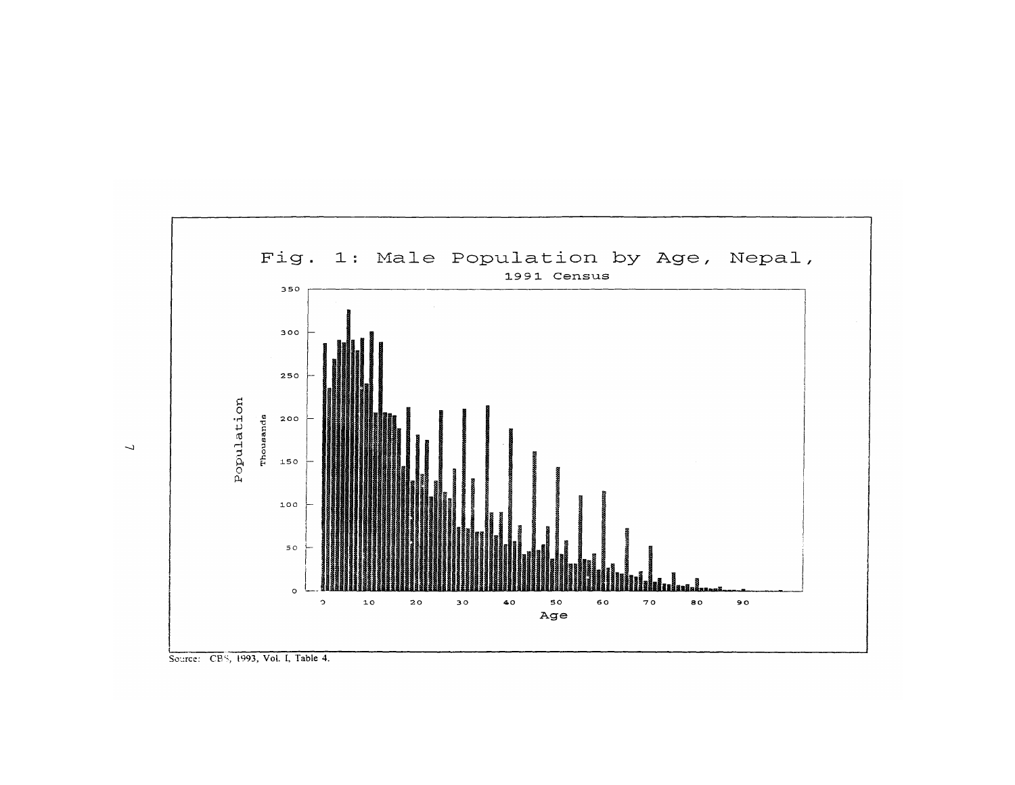

Source: CBS, 1993, Vol. I, Table 4.

 $\overline{\mathcal{L}}$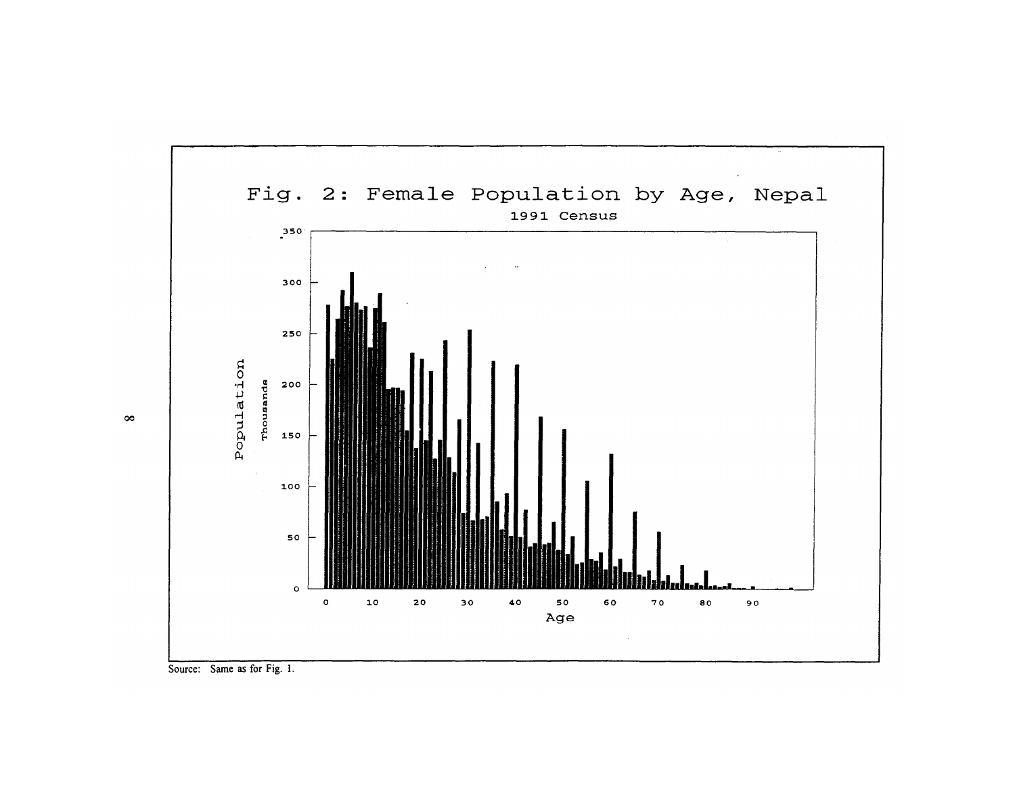

Source: Same as for Fig. 1.

 $\infty$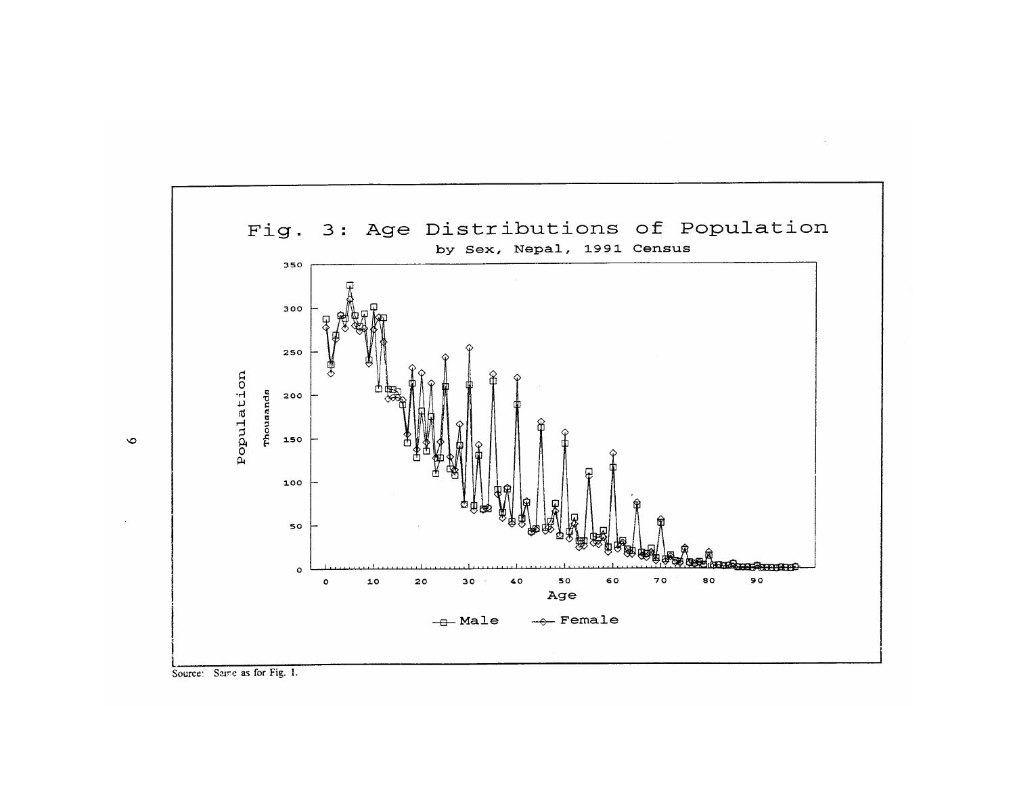

 $\sim 10^{-1}$ 



 $\bullet$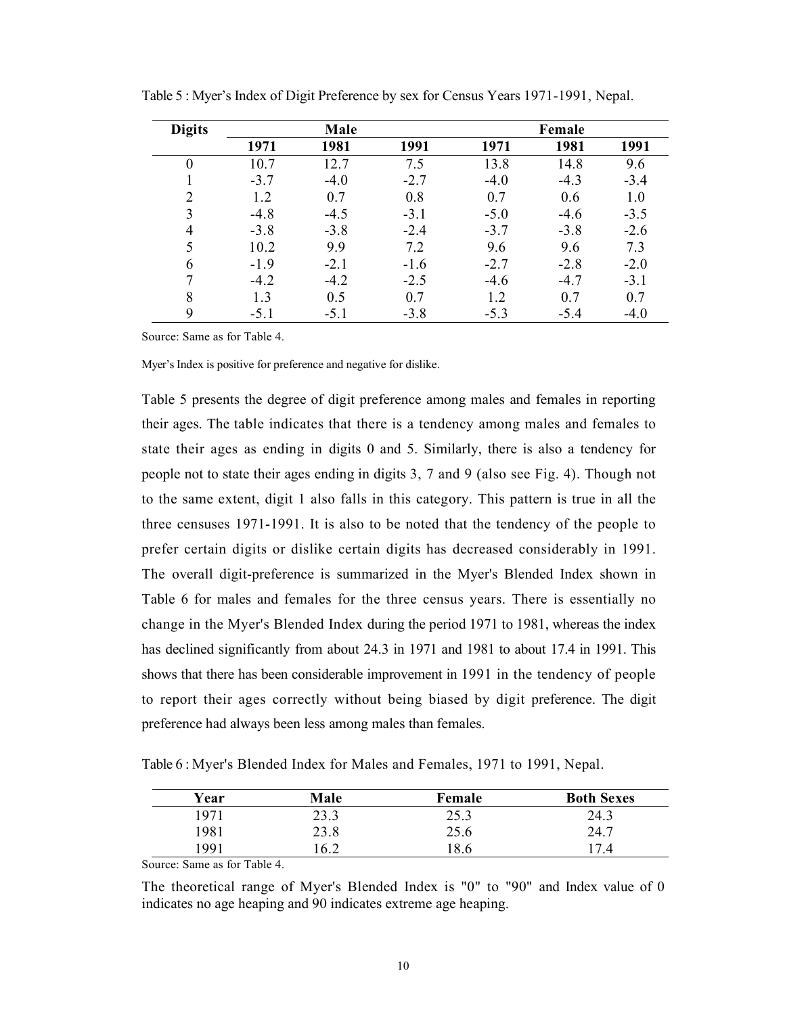| <b>Digits</b> |        | Male   |        |        | Female |        |
|---------------|--------|--------|--------|--------|--------|--------|
|               | 1971   | 1981   | 1991   | 1971   | 1981   | 1991   |
| $\theta$      | 10.7   | 12.7   | 7.5    | 13.8   | 14.8   | 9.6    |
|               | $-3.7$ | $-4.0$ | $-2.7$ | $-4.0$ | $-4.3$ | $-3.4$ |
| 2             | 1.2    | 0.7    | 0.8    | 0.7    | 0.6    | 1.0    |
| 3             | $-4.8$ | $-4.5$ | $-3.1$ | $-5.0$ | $-4.6$ | $-3.5$ |
| 4             | $-3.8$ | $-3.8$ | $-2.4$ | $-3.7$ | $-3.8$ | $-2.6$ |
| 5             | 10.2   | 9.9    | 7.2    | 9.6    | 9.6    | 7.3    |
| 6             | $-1.9$ | $-2.1$ | $-1.6$ | $-2.7$ | $-2.8$ | $-2.0$ |
|               | $-4.2$ | $-4.2$ | $-2.5$ | $-4.6$ | $-4.7$ | $-3.1$ |
| 8             | 1.3    | 0.5    | 0.7    | 1.2    | 0.7    | 0.7    |
| 9             | $-5.1$ | $-5.1$ | $-3.8$ | $-5.3$ | $-5.4$ | $-4.0$ |

Table 5 : Myer's Index of Digit Preference by sex for Census Years 1971-1991, Nepal.

Source: Same as for Table 4.

Myer's Index is positive for preference and negative for dislike.

Table 5 presents the degree of digit preference among males and females in reporting their ages. The table indicates that there is a tendency among males and females to state their ages as ending in digits 0 and 5. Similarly, there is also a tendency for people not to state their ages ending in digits 3, 7 and 9 (also see Fig. 4). Though not to the same extent, digit 1 also falls in this category. This pattern is true in all the three censuses 1971-1991. It is also to be noted that the tendency of the people to prefer certain digits or dislike certain digits has decreased considerably in 1991. The overall digit-preference is summarized in the Myer's Blended Index shown in Table 6 for males and females for the three census years. There is essentially no change in the Myer's Blended Index during the period 1971 to 1981, whereas the index has declined significantly from about 24.3 in 1971 and 1981 to about 17.4 in 1991. This shows that there has been considerable improvement in 1991 in the tendency of people to report their ages correctly without being biased by digit preference. The digit preference had always been less among males than females.

Table 6 : Myer's Blended Index for Males and Females, 1971 to 1991, Nepal.

| Year | Male | Female         | <b>Both Sexes</b> |
|------|------|----------------|-------------------|
| 1971 | 23.3 | 25.3           | 24.3              |
| 1981 | 23.8 | 25.6           | 24.7              |
| 1991 | .6.2 | $\overline{Q}$ |                   |

Source: Same as for Table 4.

The theoretical range of Myer's Blended Index is "0" to "90" and Index value of 0 indicates no age heaping and 90 indicates extreme age heaping.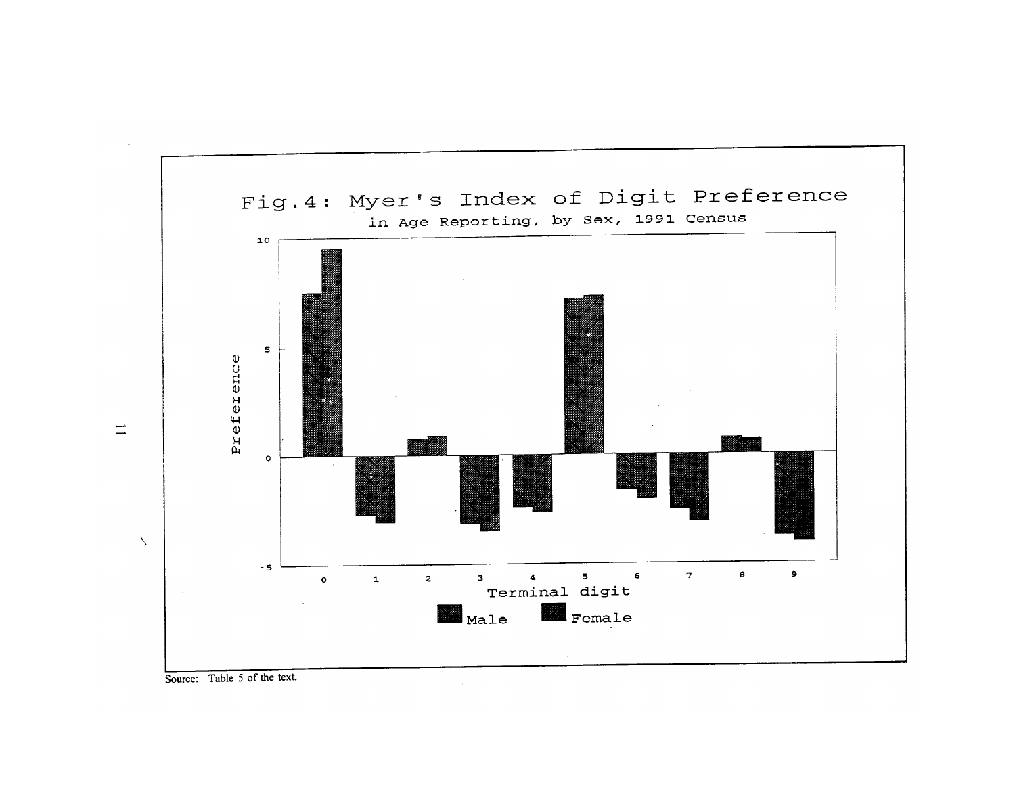



 $\equiv$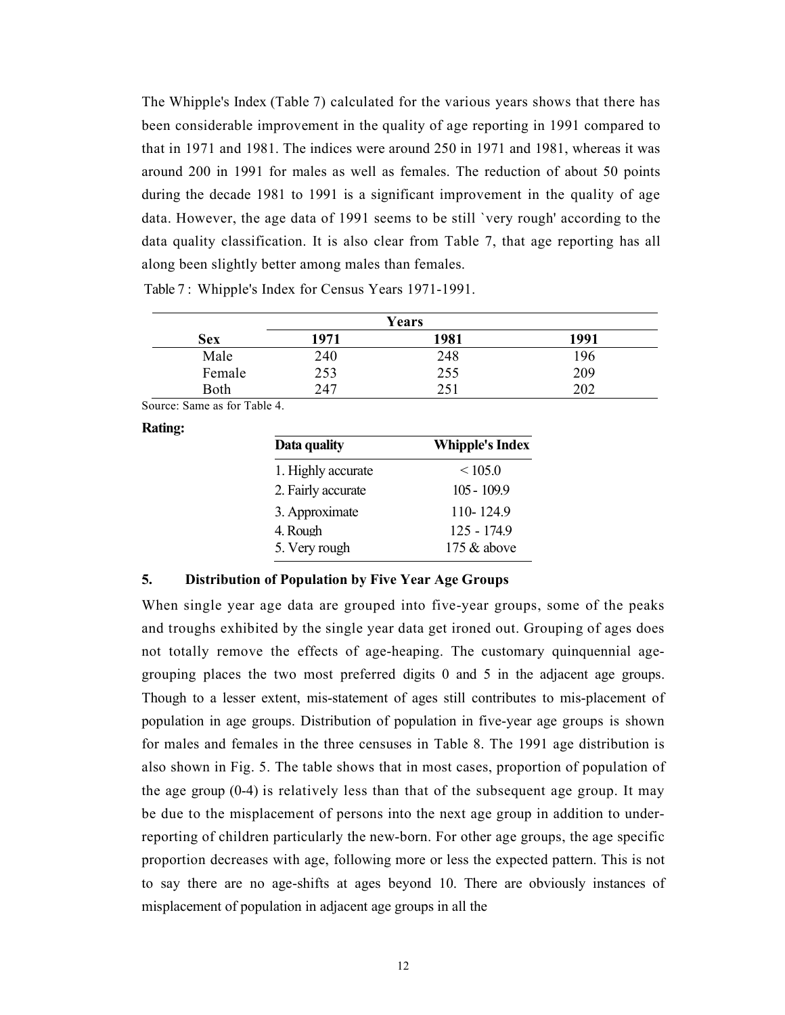The Whipple's Index (Table 7) calculated for the various years shows that there has been considerable improvement in the quality of age reporting in 1991 compared to that in 1971 and 1981. The indices were around 250 in 1971 and 1981, whereas it was around 200 in 1991 for males as well as females. The reduction of about 50 points during the decade 1981 to 1991 is a significant improvement in the quality of age data. However, the age data of 1991 seems to be still `very rough' according to the data quality classification. It is also clear from Table 7, that age reporting has all along been slightly better among males than females.

|            |      | Years |      |
|------------|------|-------|------|
| <b>Sex</b> | 1971 | 1981  | 1991 |
| Male       | 240  | 248   | 196  |
| Female     | 253  | 255   | 209  |
| Both       | 247  | 251   | 202  |

Table 7 : Whipple's Index for Census Years 1971-1991.

Source: Same as for Table 4.

Rating:

| Data quality       | <b>Whipple's Index</b> |
|--------------------|------------------------|
| 1. Highly accurate | < 105.0                |
| 2. Fairly accurate | $105 - 109.9$          |
| 3. Approximate     | 110-124.9              |
| 4. Rough           | 125 - 174.9            |
| 5. Very rough      | 175 $&$ above          |

# 5. Distribution of Population by Five Year Age Groups

When single year age data are grouped into five-year groups, some of the peaks and troughs exhibited by the single year data get ironed out. Grouping of ages does not totally remove the effects of age-heaping. The customary quinquennial agegrouping places the two most preferred digits 0 and 5 in the adjacent age groups. Though to a lesser extent, mis-statement of ages still contributes to mis-placement of population in age groups. Distribution of population in five-year age groups is shown for males and females in the three censuses in Table 8. The 1991 age distribution is also shown in Fig. 5. The table shows that in most cases, proportion of population of the age group (0-4) is relatively less than that of the subsequent age group. It may be due to the misplacement of persons into the next age group in addition to underreporting of children particularly the new-born. For other age groups, the age specific proportion decreases with age, following more or less the expected pattern. This is not to say there are no age-shifts at ages beyond 10. There are obviously instances of misplacement of population in adjacent age groups in all the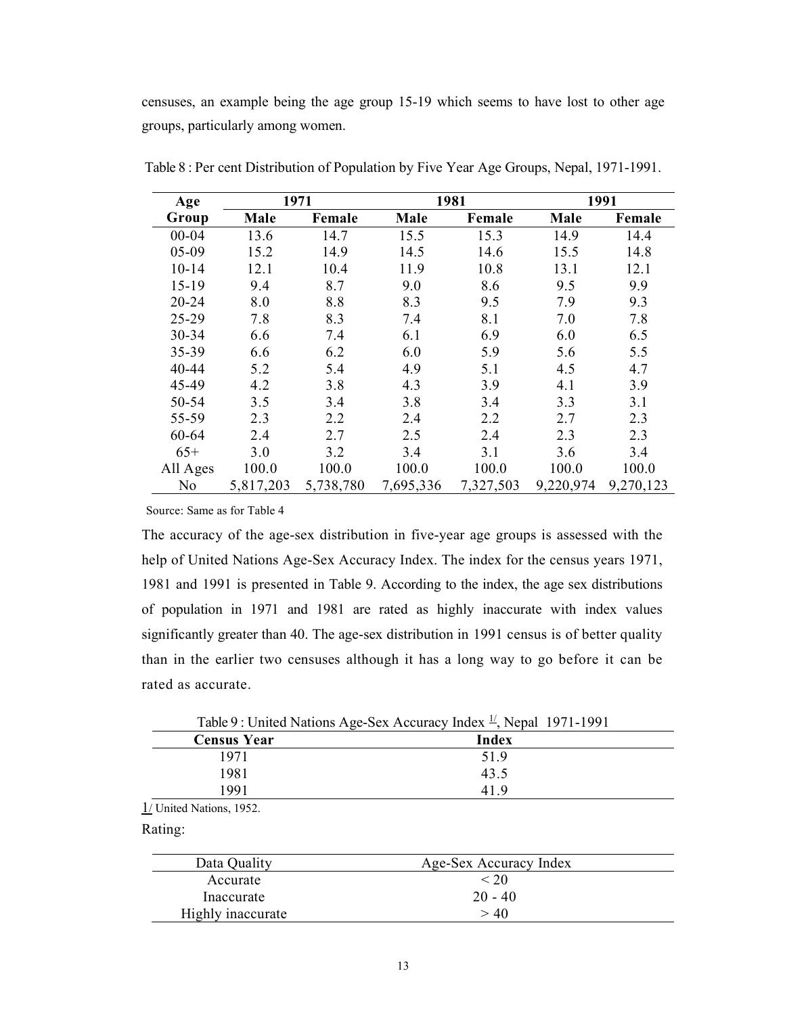censuses, an example being the age group 15-19 which seems to have lost to other age groups, particularly among women.

| Age       |           | 1981<br>1971 |           |           | 1991      |           |
|-----------|-----------|--------------|-----------|-----------|-----------|-----------|
| Group     | Male      | Female       | Male      | Female    | Male      | Female    |
| $00 - 04$ | 13.6      | 14.7         | 15.5      | 15.3      | 14.9      | 14.4      |
| $05-09$   | 15.2      | 14.9         | 14.5      | 14.6      | 15.5      | 14.8      |
| $10 - 14$ | 12.1      | 10.4         | 11.9      | 10.8      | 13.1      | 12.1      |
| $15-19$   | 9.4       | 8.7          | 9.0       | 8.6       | 9.5       | 9.9       |
| $20 - 24$ | 8.0       | 8.8          | 8.3       | 9.5       | 7.9       | 9.3       |
| 25-29     | 7.8       | 8.3          | 7.4       | 8.1       | 7.0       | 7.8       |
| 30-34     | 6.6       | 7.4          | 6.1       | 6.9       | 6.0       | 6.5       |
| 35-39     | 6.6       | 6.2          | 6.0       | 5.9       | 5.6       | 5.5       |
| 40-44     | 5.2       | 5.4          | 4.9       | 5.1       | 4.5       | 4.7       |
| 45-49     | 4.2       | 3.8          | 4.3       | 3.9       | 4.1       | 3.9       |
| 50-54     | 3.5       | 3.4          | 3.8       | 3.4       | 3.3       | 3.1       |
| 55-59     | 2.3       | 2.2          | 2.4       | 2.2       | 2.7       | 2.3       |
| 60-64     | 2.4       | 2.7          | 2.5       | 2.4       | 2.3       | 2.3       |
| $65+$     | 3.0       | 3.2          | 3.4       | 3.1       | 3.6       | 3.4       |
| All Ages  | 100.0     | 100.0        | 100.0     | 100.0     | 100.0     | 100.0     |
| No        | 5,817,203 | 5,738,780    | 7,695,336 | 7,327,503 | 9,220,974 | 9,270,123 |

Table 8 : Per cent Distribution of Population by Five Year Age Groups, Nepal, 1971-1991.

Source: Same as for Table 4

The accuracy of the age-sex distribution in five-year age groups is assessed with the help of United Nations Age-Sex Accuracy Index. The index for the census years 1971, 1981 and 1991 is presented in Table 9. According to the index, the age sex distributions of population in 1971 and 1981 are rated as highly inaccurate with index values significantly greater than 40. The age-sex distribution in 1991 census is of better quality than in the earlier two censuses although it has a long way to go before it can be rated as accurate.

|                    | Table 9 : United Nations Age-Sex Accuracy Index $\frac{1}{2}$ , Nepal 1971-1991 |
|--------------------|---------------------------------------------------------------------------------|
| <b>Census Year</b> | Index                                                                           |
| 1971               | 51.9                                                                            |
| 1981               | 43.5                                                                            |
| 1991               | 419                                                                             |

1/ United Nations, 1952.

Rating:

| Data Quality      | Age-Sex Accuracy Index |  |
|-------------------|------------------------|--|
| Accurate          | < 20                   |  |
| Inaccurate        | $20 - 40$              |  |
| Highly inaccurate | >40                    |  |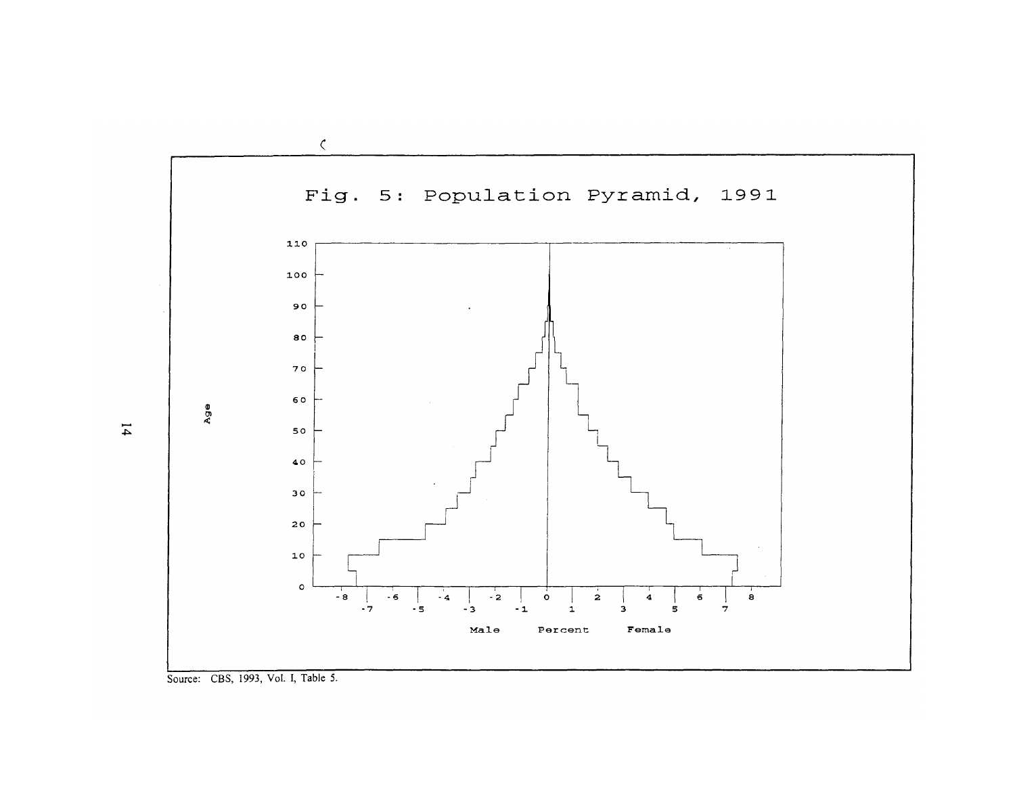

Source: CBS, 1993, Vol. I, Table 5.

 $\overline{14}$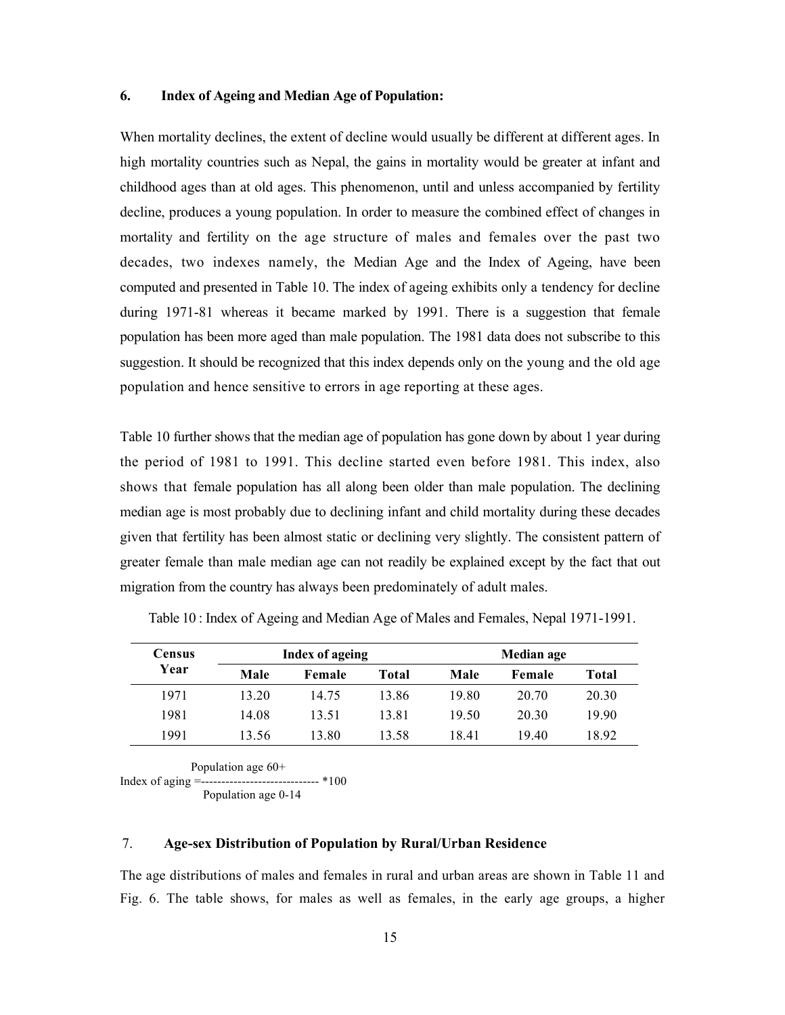## 6. Index of Ageing and Median Age of Population:

When mortality declines, the extent of decline would usually be different at different ages. In high mortality countries such as Nepal, the gains in mortality would be greater at infant and childhood ages than at old ages. This phenomenon, until and unless accompanied by fertility decline, produces a young population. In order to measure the combined effect of changes in mortality and fertility on the age structure of males and females over the past two decades, two indexes namely, the Median Age and the Index of Ageing, have been computed and presented in Table 10. The index of ageing exhibits only a tendency for decline during 1971-81 whereas it became marked by 1991. There is a suggestion that female population has been more aged than male population. The 1981 data does not subscribe to this suggestion. It should be recognized that this index depends only on the young and the old age population and hence sensitive to errors in age reporting at these ages.

Table 10 further shows that the median age of population has gone down by about 1 year during the period of 1981 to 1991. This decline started even before 1981. This index, also shows that female population has all along been older than male population. The declining median age is most probably due to declining infant and child mortality during these decades given that fertility has been almost static or declining very slightly. The consistent pattern of greater female than male median age can not readily be explained except by the fact that out migration from the country has always been predominately of adult males.

| Census | <b>Index of ageing</b> |        |       | Median age |        |       |
|--------|------------------------|--------|-------|------------|--------|-------|
| Year   | Male                   | Female | Total | Male       | Female | Total |
| 1971   | 13.20                  | 14.75  | 13.86 | 19.80      | 20.70  | 20.30 |
| 1981   | 14.08                  | 13.51  | 13.81 | 19.50      | 20.30  | 19.90 |
| 1991   | 13.56                  | 13.80  | 13.58 | 18.41      | 19.40  | 18.92 |

Table 10 : Index of Ageing and Median Age of Males and Females, Nepal 1971-1991.

Population age 60+

Index of aging =----------------------------- \*100

Population age 0-14

#### 7. Age-sex Distribution of Population by Rural/Urban Residence

The age distributions of males and females in rural and urban areas are shown in Table 11 and Fig. 6. The table shows, for males as well as females, in the early age groups, a higher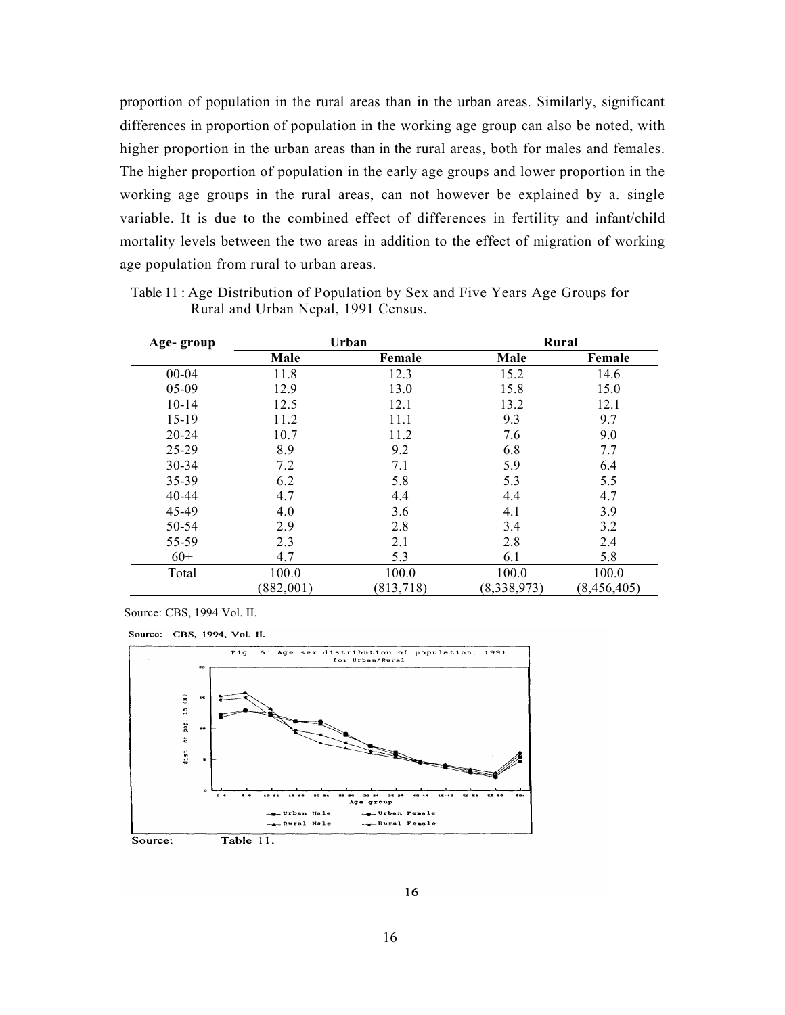proportion of population in the rural areas than in the urban areas. Similarly, significant differences in proportion of population in the working age group can also be noted, with higher proportion in the urban areas than in the rural areas, both for males and females. The higher proportion of population in the early age groups and lower proportion in the working age groups in the rural areas, can not however be explained by a. single variable. It is due to the combined effect of differences in fertility and infant/child mortality levels between the two areas in addition to the effect of migration of working age population from rural to urban areas.

| Age-group | Urban     |            |             | Rural         |
|-----------|-----------|------------|-------------|---------------|
|           | Male      | Female     | Male        | Female        |
| $00 - 04$ | 11.8      | 12.3       | 15.2        | 14.6          |
| $05-09$   | 12.9      | 13.0       | 15.8        | 15.0          |
| $10 - 14$ | 12.5      | 12.1       | 13.2        | 12.1          |
| $15-19$   | 11.2      | 11.1       | 9.3         | 9.7           |
| $20 - 24$ | 10.7      | 11.2       | 7.6         | 9.0           |
| 25-29     | 8.9       | 9.2        | 6.8         | 7.7           |
| $30 - 34$ | 7.2       | 7.1        | 5.9         | 6.4           |
| 35-39     | 6.2       | 5.8        | 5.3         | 5.5           |
| $40 - 44$ | 4.7       | 4.4        | 4.4         | 4.7           |
| 45-49     | 4.0       | 3.6        | 4.1         | 3.9           |
| 50-54     | 2.9       | 2.8        | 3.4         | 3.2           |
| 55-59     | 2.3       | 2.1        | 2.8         | 2.4           |
| $60+$     | 4.7       | 5.3        | 6.1         | 5.8           |
| Total     | 100.0     | 100.0      | 100.0       | 100.0         |
|           | (882,001) | (813, 718) | (8,338,973) | (8, 456, 405) |

Table 11 : Age Distribution of Population by Sex and Five Years Age Groups for Rural and Urban Nepal, 1991 Census.

Source: CBS, 1994 Vol. II.

Source: CBS, 1994, Vol. II.



16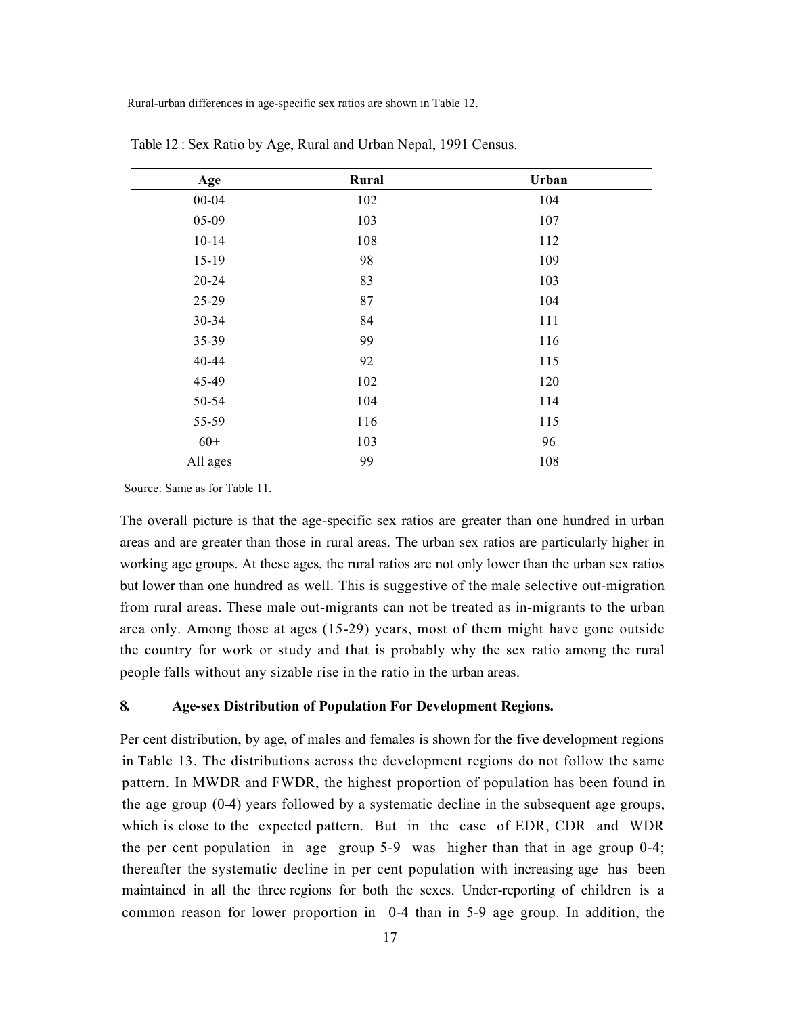Rural-urban differences in age-specific sex ratios are shown in Table 12.

| Age       | Rural | Urban |  |
|-----------|-------|-------|--|
| $00 - 04$ | 102   | 104   |  |
| 05-09     | 103   | 107   |  |
| $10 - 14$ | 108   | 112   |  |
| $15-19$   | 98    | 109   |  |
| $20 - 24$ | 83    | 103   |  |
| 25-29     | 87    | 104   |  |
| 30-34     | 84    | 111   |  |
| 35-39     | 99    | 116   |  |
| 40-44     | 92    | 115   |  |
| 45-49     | 102   | 120   |  |
| 50-54     | 104   | 114   |  |
| 55-59     | 116   | 115   |  |
| $60+$     | 103   | 96    |  |
| All ages  | 99    | 108   |  |

Table 12 : Sex Ratio by Age, Rural and Urban Nepal, 1991 Census.

Source: Same as for Table 11.

The overall picture is that the age-specific sex ratios are greater than one hundred in urban areas and are greater than those in rural areas. The urban sex ratios are particularly higher in working age groups. At these ages, the rural ratios are not only lower than the urban sex ratios but lower than one hundred as well. This is suggestive of the male selective out-migration from rural areas. These male out-migrants can not be treated as in-migrants to the urban area only. Among those at ages (15-29) years, most of them might have gone outside the country for work or study and that is probably why the sex ratio among the rural people falls without any sizable rise in the ratio in the urban areas.

# 8. Age-sex Distribution of Population For Development Regions.

Per cent distribution, by age, of males and females is shown for the five development regions in Table 13. The distributions across the development regions do not follow the same pattern. In MWDR and FWDR, the highest proportion of population has been found in the age group (0-4) years followed by a systematic decline in the subsequent age groups, which is close to the expected pattern. But in the case of EDR, CDR and WDR the per cent population in age group 5-9 was higher than that in age group 0-4; thereafter the systematic decline in per cent population with increasing age has been maintained in all the three regions for both the sexes. Under-reporting of children is a common reason for lower proportion in 0-4 than in 5-9 age group. In addition, the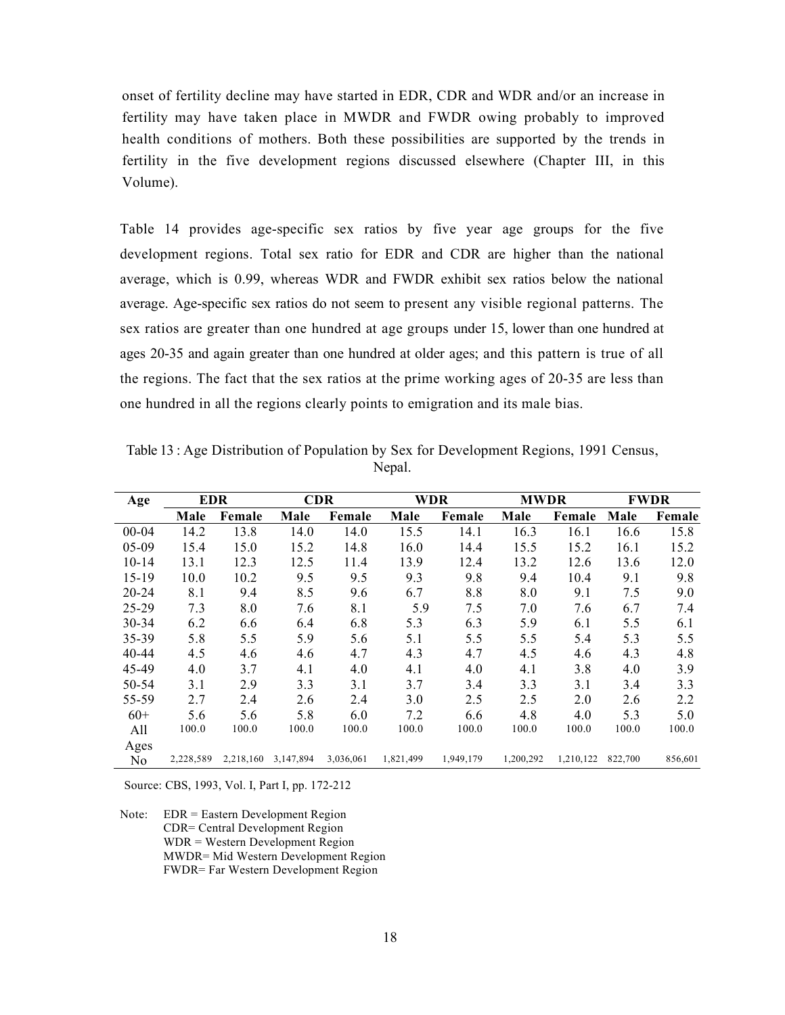onset of fertility decline may have started in EDR, CDR and WDR and/or an increase in fertility may have taken place in MWDR and FWDR owing probably to improved health conditions of mothers. Both these possibilities are supported by the trends in fertility in the five development regions discussed elsewhere (Chapter III, in this Volume).

Table 14 provides age-specific sex ratios by five year age groups for the five development regions. Total sex ratio for EDR and CDR are higher than the national average, which is 0.99, whereas WDR and FWDR exhibit sex ratios below the national average. Age-specific sex ratios do not seem to present any visible regional patterns. The sex ratios are greater than one hundred at age groups under 15, lower than one hundred at ages 20-35 and again greater than one hundred at older ages; and this pattern is true of all the regions. The fact that the sex ratios at the prime working ages of 20-35 are less than one hundred in all the regions clearly points to emigration and its male bias.

| Table 13 : Age Distribution of Population by Sex for Development Regions, 1991 Census, |
|----------------------------------------------------------------------------------------|
| Nepal.                                                                                 |

| Age       | <b>EDR</b> |           | <b>CDR</b> |           | <b>WDR</b> |           | <b>MWDR</b> |           | <b>FWDR</b> |         |
|-----------|------------|-----------|------------|-----------|------------|-----------|-------------|-----------|-------------|---------|
|           | Male       | Female    | Male       | Female    | Male       | Female    | Male        | Female    | Male        | Female  |
| $00 - 04$ | 14.2       | 13.8      | 14.0       | 14.0      | 15.5       | 14.1      | 16.3        | 16.1      | 16.6        | 15.8    |
| $05-09$   | 15.4       | 15.0      | 15.2       | 14.8      | 16.0       | 14.4      | 15.5        | 15.2      | 16.1        | 15.2    |
| $10 - 14$ | 13.1       | 12.3      | 12.5       | 11.4      | 13.9       | 12.4      | 13.2        | 12.6      | 13.6        | 12.0    |
| $15-19$   | 10.0       | 10.2      | 9.5        | 9.5       | 9.3        | 9.8       | 9.4         | 10.4      | 9.1         | 9.8     |
| $20 - 24$ | 8.1        | 9.4       | 8.5        | 9.6       | 6.7        | 8.8       | 8.0         | 9.1       | 7.5         | 9.0     |
| 25-29     | 7.3        | 8.0       | 7.6        | 8.1       | 5.9        | 7.5       | 7.0         | 7.6       | 6.7         | 7.4     |
| $30 - 34$ | 6.2        | 6.6       | 6.4        | 6.8       | 5.3        | 6.3       | 5.9         | 6.1       | 5.5         | 6.1     |
| 35-39     | 5.8        | 5.5       | 5.9        | 5.6       | 5.1        | 5.5       | 5.5         | 5.4       | 5.3         | 5.5     |
| $40 - 44$ | 4.5        | 4.6       | 4.6        | 4.7       | 4.3        | 4.7       | 4.5         | 4.6       | 4.3         | 4.8     |
| 45-49     | 4.0        | 3.7       | 4.1        | 4.0       | 4.1        | 4.0       | 4.1         | 3.8       | 4.0         | 3.9     |
| 50-54     | 3.1        | 2.9       | 3.3        | 3.1       | 3.7        | 3.4       | 3.3         | 3.1       | 3.4         | 3.3     |
| 55-59     | 2.7        | 2.4       | 2.6        | 2.4       | 3.0        | 2.5       | 2.5         | 2.0       | 2.6         | 2.2     |
| $60+$     | 5.6        | 5.6       | 5.8        | 6.0       | 7.2        | 6.6       | 4.8         | 4.0       | 5.3         | 5.0     |
| All       | 100.0      | 100.0     | 100.0      | 100.0     | 100.0      | 100.0     | 100.0       | 100.0     | 100.0       | 100.0   |
| Ages      |            |           |            |           |            |           |             |           |             |         |
| No        | 2,228,589  | 2,218,160 | 3,147,894  | 3,036,061 | 1,821,499  | 1,949,179 | 1,200,292   | 1,210,122 | 822,700     | 856,601 |

Source: CBS, 1993, Vol. I, Part I, pp. 172-212

Note: EDR = Eastern Development Region CDR= Central Development Region WDR = Western Development Region MWDR= Mid Western Development Region FWDR= Far Western Development Region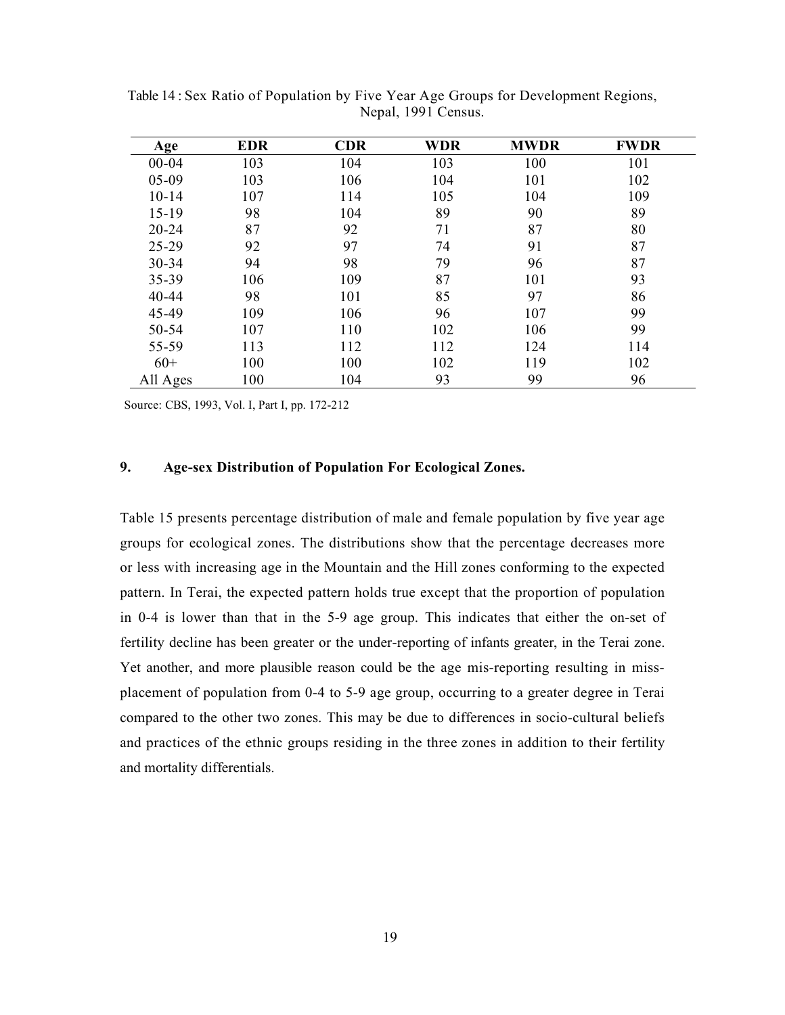| <b>Age</b> | <b>EDR</b> | <b>CDR</b> | <b>WDR</b> | <b>MWDR</b> | <b>FWDR</b> |
|------------|------------|------------|------------|-------------|-------------|
| $00 - 04$  | 103        | 104        | 103        | 100         | 101         |
| $05-09$    | 103        | 106        | 104        | 101         | 102         |
| $10 - 14$  | 107        | 114        | 105        | 104         | 109         |
| $15-19$    | 98         | 104        | 89         | 90          | 89          |
| $20 - 24$  | 87         | 92         | 71         | 87          | 80          |
| 25-29      | 92         | 97         | 74         | 91          | 87          |
| 30-34      | 94         | 98         | 79         | 96          | 87          |
| 35-39      | 106        | 109        | 87         | 101         | 93          |
| 40-44      | 98         | 101        | 85         | 97          | 86          |
| 45-49      | 109        | 106        | 96         | 107         | 99          |
| 50-54      | 107        | 110        | 102        | 106         | 99          |
| 55-59      | 113        | 112        | 112        | 124         | 114         |
| $60+$      | 100        | 100        | 102        | 119         | 102         |
| All Ages   | 100        | 104        | 93         | 99          | 96          |

Table 14 : Sex Ratio of Population by Five Year Age Groups for Development Regions, Nepal, 1991 Census.

Source: CBS, 1993, Vol. I, Part I, pp. 172-212

# 9. Age-sex Distribution of Population For Ecological Zones.

Table 15 presents percentage distribution of male and female population by five year age groups for ecological zones. The distributions show that the percentage decreases more or less with increasing age in the Mountain and the Hill zones conforming to the expected pattern. In Terai, the expected pattern holds true except that the proportion of population in 0-4 is lower than that in the 5-9 age group. This indicates that either the on-set of fertility decline has been greater or the under-reporting of infants greater, in the Terai zone. Yet another, and more plausible reason could be the age mis-reporting resulting in missplacement of population from 0-4 to 5-9 age group, occurring to a greater degree in Terai compared to the other two zones. This may be due to differences in socio-cultural beliefs and practices of the ethnic groups residing in the three zones in addition to their fertility and mortality differentials.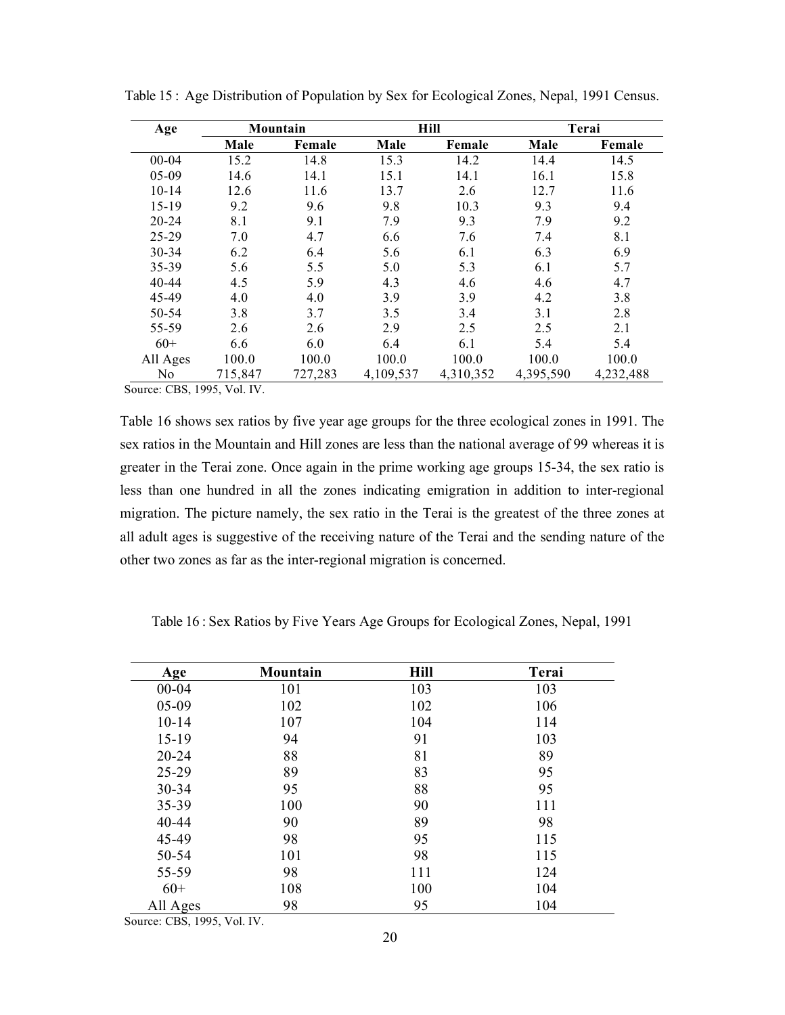| Age       | Mountain |         |           | <b>Hill</b> |           | Terai     |  |
|-----------|----------|---------|-----------|-------------|-----------|-----------|--|
|           | Male     | Female  | Male      | Female      | Male      | Female    |  |
| $00 - 04$ | 15.2     | 14.8    | 15.3      | 14.2        | 14.4      | 14.5      |  |
| $05-09$   | 14.6     | 14.1    | 15.1      | 14.1        | 16.1      | 15.8      |  |
| $10 - 14$ | 12.6     | 11.6    | 13.7      | 2.6         | 12.7      | 11.6      |  |
| $15-19$   | 9.2      | 9.6     | 9.8       | 10.3        | 9.3       | 9.4       |  |
| $20 - 24$ | 8.1      | 9.1     | 7.9       | 9.3         | 7.9       | 9.2       |  |
| $25 - 29$ | 7.0      | 4.7     | 6.6       | 7.6         | 7.4       | 8.1       |  |
| $30 - 34$ | 6.2      | 6.4     | 5.6       | 6.1         | 6.3       | 6.9       |  |
| 35-39     | 5.6      | 5.5     | 5.0       | 5.3         | 6.1       | 5.7       |  |
| $40 - 44$ | 4.5      | 5.9     | 4.3       | 4.6         | 4.6       | 4.7       |  |
| 45-49     | 4.0      | 4.0     | 3.9       | 3.9         | 4.2       | 3.8       |  |
| 50-54     | 3.8      | 3.7     | 3.5       | 3.4         | 3.1       | 2.8       |  |
| 55-59     | 2.6      | 2.6     | 2.9       | 2.5         | 2.5       | 2.1       |  |
| $60+$     | 6.6      | 6.0     | 6.4       | 6.1         | 5.4       | 5.4       |  |
| All Ages  | 100.0    | 100.0   | 100.0     | 100.0       | 100.0     | 100.0     |  |
| No        | 715,847  | 727,283 | 4,109,537 | 4,310,352   | 4,395,590 | 4,232,488 |  |

Table 15 : Age Distribution of Population by Sex for Ecological Zones, Nepal, 1991 Census.

Source: CBS, 1995, Vol. IV.

Table 16 shows sex ratios by five year age groups for the three ecological zones in 1991. The sex ratios in the Mountain and Hill zones are less than the national average of 99 whereas it is greater in the Terai zone. Once again in the prime working age groups 15-34, the sex ratio is less than one hundred in all the zones indicating emigration in addition to inter-regional migration. The picture namely, the sex ratio in the Terai is the greatest of the three zones at all adult ages is suggestive of the receiving nature of the Terai and the sending nature of the other two zones as far as the inter-regional migration is concerned.

Table 16 : Sex Ratios by Five Years Age Groups for Ecological Zones, Nepal, 1991

| Age       | <b>Mountain</b> | Hill | Terai |
|-----------|-----------------|------|-------|
| $00 - 04$ | 101             | 103  | 103   |
| $05-09$   | 102             | 102  | 106   |
| $10 - 14$ | 107             | 104  | 114   |
| $15-19$   | 94              | 91   | 103   |
| $20 - 24$ | 88              | 81   | 89    |
| $25-29$   | 89              | 83   | 95    |
| 30-34     | 95              | 88   | 95    |
| 35-39     | 100             | 90   | 111   |
| 40-44     | 90              | 89   | 98    |
| 45-49     | 98              | 95   | 115   |
| 50-54     | 101             | 98   | 115   |
| 55-59     | 98              | 111  | 124   |
| $60+$     | 108             | 100  | 104   |
| All Ages  | 98              | 95   | 104   |

Source: CBS, 1995, Vol. IV.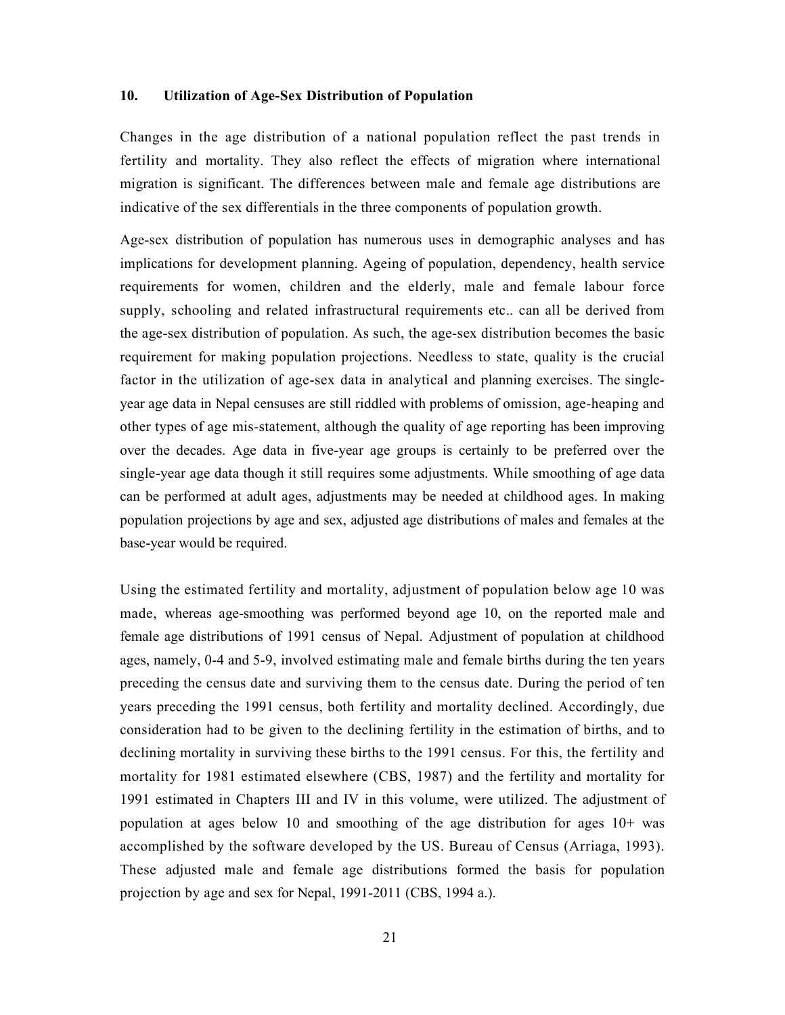# 10. Utilization of Age-Sex Distribution of Population

Changes in the age distribution of a national population reflect the past trends in fertility and mortality. They also reflect the effects of migration where international migration is significant. The differences between male and female age distributions are indicative of the sex differentials in the three components of population growth.

Age-sex distribution of population has numerous uses in demographic analyses and has implications for development planning. Ageing of population, dependency, health service requirements for women, children and the elderly, male and female labour force supply, schooling and related infrastructural requirements etc.. can all be derived from the age-sex distribution of population. As such, the age-sex distribution becomes the basic requirement for making population projections. Needless to state, quality is the crucial factor in the utilization of age-sex data in analytical and planning exercises. The singleyear age data in Nepal censuses are still riddled with problems of omission, age-heaping and other types of age mis-statement, although the quality of age reporting has been improving over the decades. Age data in five-year age groups is certainly to be preferred over the single-year age data though it still requires some adjustments. While smoothing of age data can be performed at adult ages, adjustments may be needed at childhood ages. In making population projections by age and sex, adjusted age distributions of males and females at the base-year would be required.

Using the estimated fertility and mortality, adjustment of population below age 10 was made, whereas age-smoothing was performed beyond age 10, on the reported male and female age distributions of 1991 census of Nepal. Adjustment of population at childhood ages, namely, 0-4 and 5-9, involved estimating male and female births during the ten years preceding the census date and surviving them to the census date. During the period of ten years preceding the 1991 census, both fertility and mortality declined. Accordingly, due consideration had to be given to the declining fertility in the estimation of births, and to declining mortality in surviving these births to the 1991 census. For this, the fertility and mortality for 1981 estimated elsewhere (CBS, 1987) and the fertility and mortality for 1991 estimated in Chapters III and IV in this volume, were utilized. The adjustment of population at ages below 10 and smoothing of the age distribution for ages 10+ was accomplished by the software developed by the US. Bureau of Census (Arriaga, 1993). These adjusted male and female age distributions formed the basis for population projection by age and sex for Nepal, 1991-2011 (CBS, 1994 a.).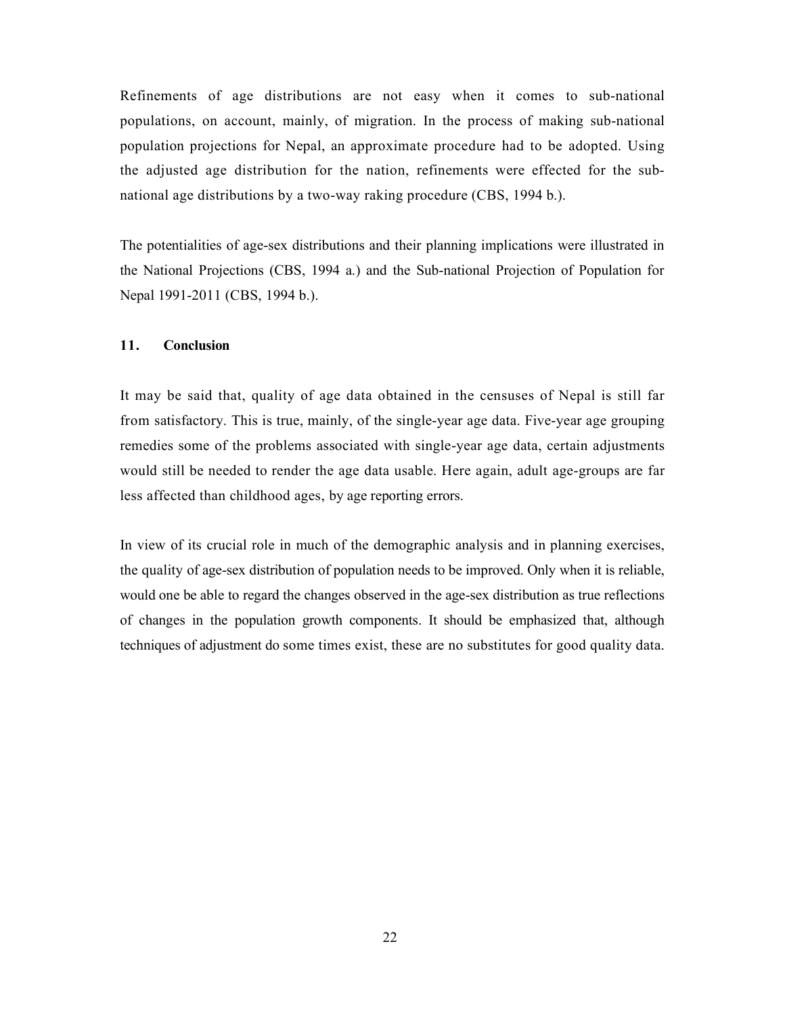Refinements of age distributions are not easy when it comes to sub-national populations, on account, mainly, of migration. In the process of making sub-national population projections for Nepal, an approximate procedure had to be adopted. Using the adjusted age distribution for the nation, refinements were effected for the subnational age distributions by a two-way raking procedure (CBS, 1994 b.).

The potentialities of age-sex distributions and their planning implications were illustrated in the National Projections (CBS, 1994 a.) and the Sub-national Projection of Population for Nepal 1991-2011 (CBS, 1994 b.).

# 11. Conclusion

It may be said that, quality of age data obtained in the censuses of Nepal is still far from satisfactory. This is true, mainly, of the single-year age data. Five-year age grouping remedies some of the problems associated with single-year age data, certain adjustments would still be needed to render the age data usable. Here again, adult age-groups are far less affected than childhood ages, by age reporting errors.

In view of its crucial role in much of the demographic analysis and in planning exercises, the quality of age-sex distribution of population needs to be improved. Only when it is reliable, would one be able to regard the changes observed in the age-sex distribution as true reflections of changes in the population growth components. It should be emphasized that, although techniques of adjustment do some times exist, these are no substitutes for good quality data.